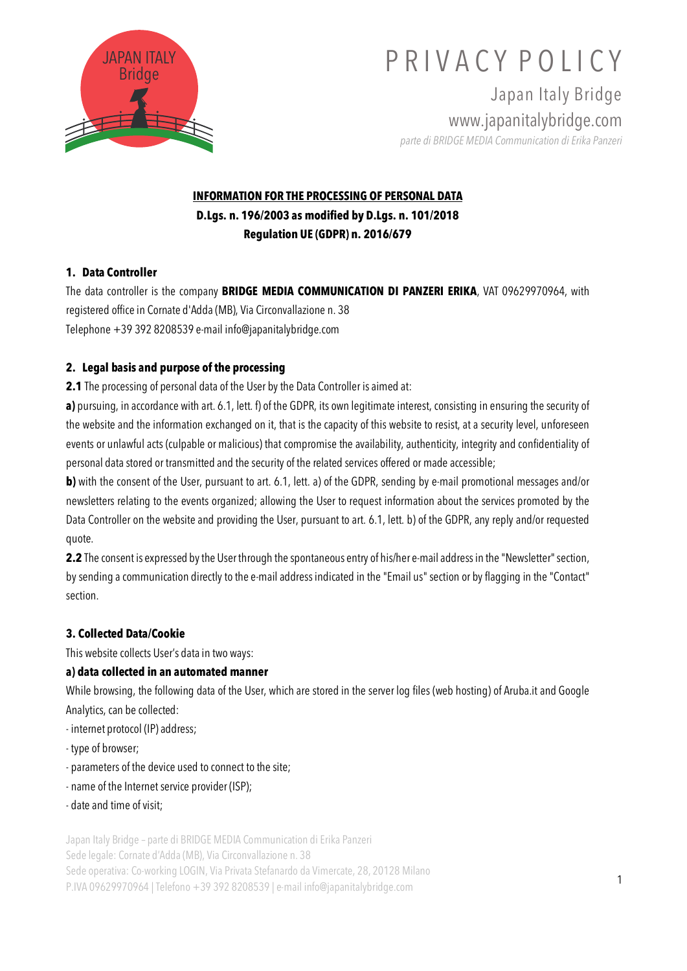

Japan Italy Bridge www.japanitalybridge.com *parte di BRIDGE MEDIA Communication di Erika Panzeri*

## **INFORMATION FOR THE PROCESSING OF PERSONAL DATA D.Lgs. n. 196/2003 as modified by D.Lgs. n. 101/2018 Regulation UE (GDPR) n. 2016/679**

### **1. Data Controller**

The data controller is the company **BRIDGE MEDIA COMMUNICATION DI PANZERI ERIKA**, VAT 09629970964, with registered office in Cornate d'Adda (MB), Via Circonvallazione n. 38 Telephone +39 392 8208539 e-mail info@japanitalybridge.com

#### **2. Legal basis and purpose of the processing**

**2.1** The processing of personal data of the User by the Data Controller is aimed at:

**a)** pursuing, in accordance with art. 6.1, lett. f) of the GDPR, its own legitimate interest, consisting in ensuring the security of the website and the information exchanged on it, that is the capacity of this website to resist, at a security level, unforeseen events or unlawful acts (culpable or malicious) that compromise the availability, authenticity, integrity and confidentiality of personal data stored or transmitted and the security of the related services offered or made accessible;

**b**) with the consent of the User, pursuant to art. 6.1, lett. a) of the GDPR, sending by e-mail promotional messages and/or newsletters relating to the events organized; allowing the User to request information about the services promoted by the Data Controller on the website and providing the User, pursuant to art. 6.1, lett. b) of the GDPR, any reply and/or requested quote.

**2.2** The consent is expressed by the User through the spontaneous entry of his/her e-mail address in the "Newsletter" section, by sending a communication directly to the e-mail address indicated in the "Email us" section or by flagging in the "Contact" section.

### **3. Collected Data/Cookie**

This website collects User's data in two ways:

#### **a) data collected in an automated manner**

While browsing, the following data of the User, which are stored in the server log files (web hosting) of Aruba.it and Google Analytics, can be collected:

- internet protocol (IP) address;
- type of browser;
- parameters of the device used to connect to the site;
- name of the Internet service provider (ISP);
- date and time of visit;

Japan Italy Bridge – parte di BRIDGE MEDIA Communication di Erika Panzeri

Sede legale: Cornate d'Adda (MB), Via Circonvallazione n. 38

Sede operativa: Co-working LOGIN, Via Privata Stefanardo da Vimercate, 28, 20128 Milano P.IVA 09629970964 | Telefono +39 392 8208539 | e-mail info@japanitalybridge.com <sup>1</sup>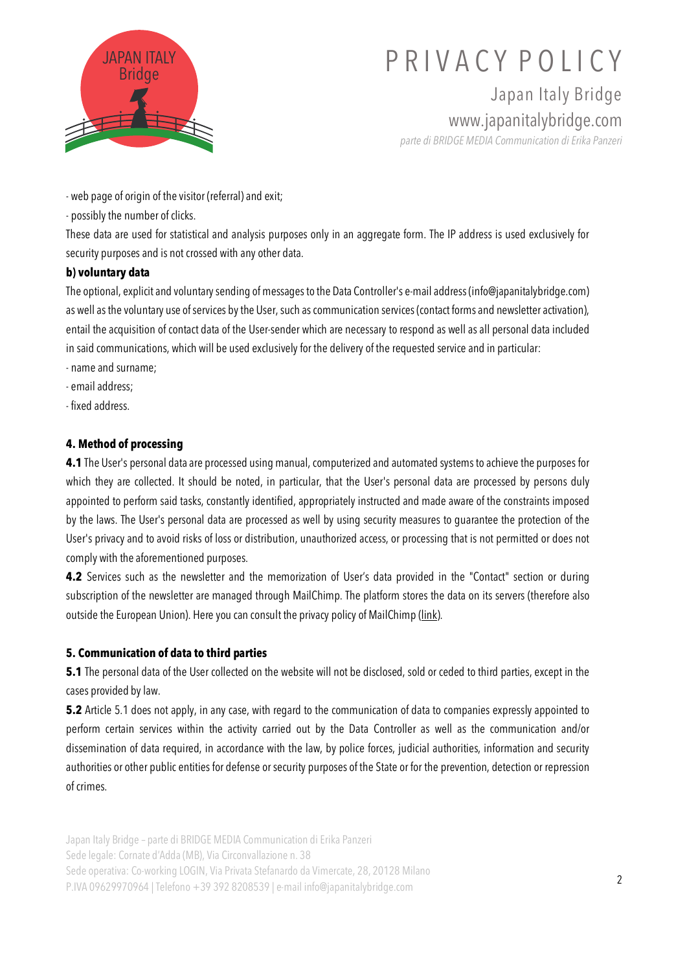

Japan Italy Bridge www.japanitalybridge.com

*parte di BRIDGE MEDIA Communication di Erika Panzeri*

- web page of origin of the visitor (referral) and exit;

- possibly the number of clicks.

These data are used for statistical and analysis purposes only in an aggregate form. The IP address is used exclusively for security purposes and is not crossed with any other data.

### **b) voluntary data**

The optional, explicit and voluntary sending of messages to the Data Controller's e-mail address (info@japanitalybridge.com) as well as the voluntary use of services by the User, such as communication services (contact forms and newsletter activation), entail the acquisition of contact data of the User-sender which are necessary to respond as well as all personal data included in said communications, which will be used exclusively for the delivery of the requested service and in particular:

- name and surname;
- email address;
- fixed address.

### **4. Method of processing**

**4.1** The User's personal data are processed using manual, computerized and automated systems to achieve the purposes for which they are collected. It should be noted, in particular, that the User's personal data are processed by persons duly appointed to perform said tasks, constantly identified, appropriately instructed and made aware of the constraints imposed by the laws. The User's personal data are processed as well by using security measures to guarantee the protection of the User's privacy and to avoid risks of loss or distribution, unauthorized access, or processing that is not permitted or does not comply with the aforementioned purposes.

**4.2** Services such as the newsletter and the memorization of User's data provided in the "Contact" section or during subscription of the newsletter are managed through MailChimp. The platform stores the data on its servers (therefore also outside the European Union). Here you can consult the privacy policy of MailChimp (link).

#### **5. Communication of data to third parties**

**5.1** The personal data of the User collected on the website will not be disclosed, sold or ceded to third parties, except in the cases provided by law.

**5.2** Article 5.1 does not apply, in any case, with regard to the communication of data to companies expressly appointed to perform certain services within the activity carried out by the Data Controller as well as the communication and/or dissemination of data required, in accordance with the law, by police forces, judicial authorities, information and security authorities or other public entities for defense or security purposes of the State or for the prevention, detection or repression of crimes.

Japan Italy Bridge – parte di BRIDGE MEDIA Communication di Erika Panzeri Sede legale: Cornate d'Adda (MB), Via Circonvallazione n. 38 Sede operativa: Co-working LOGIN, Via Privata Stefanardo da Vimercate, 28, 20128 Milano P.IVA 09629970964 | Telefono +39 392 8208539 | e-mail info@japanitalybridge.com <sup>2</sup>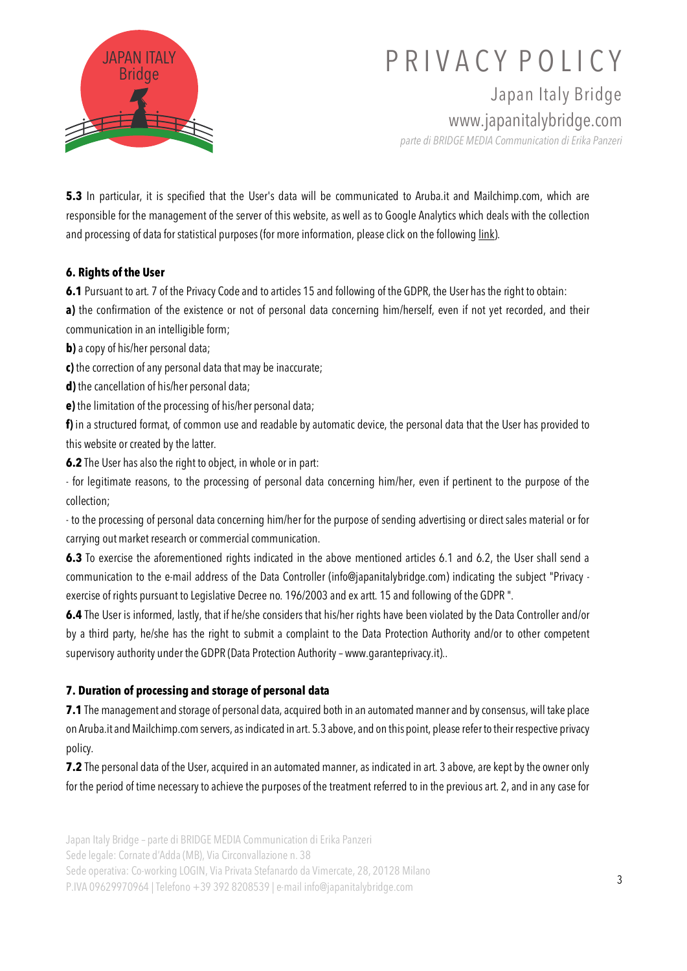

Japan Italy Bridge www.japanitalybridge.com

*parte di BRIDGE MEDIA Communication di Erika Panzeri*

**5.3** In particular, it is specified that the User's data will be communicated to Aruba.it and Mailchimp.com, which are responsible for the management of the server of this website, as well as to Google Analytics which deals with the collection and processing of data for statistical purposes (for more information, please click on the following link).

#### **6. Rights of the User**

**6.1** Pursuant to art. 7 of the Privacy Code and to articles 15 and following of the GDPR, the User has the right to obtain:

a) the confirmation of the existence or not of personal data concerning him/herself, even if not yet recorded, and their communication in an intelligible form;

**b**) a copy of his/her personal data;

**c)** the correction of any personal data that may be inaccurate;

**d)** the cancellation of his/her personal data;

**e)** the limitation of the processing of his/her personal data;

**f)** in a structured format, of common use and readable by automatic device, the personal data that the User has provided to this website or created by the latter.

**6.2** The User has also the right to object, in whole or in part:

- for legitimate reasons, to the processing of personal data concerning him/her, even if pertinent to the purpose of the collection;

- to the processing of personal data concerning him/her for the purpose of sending advertising or direct sales material or for carrying out market research or commercial communication.

**6.3** To exercise the aforementioned rights indicated in the above mentioned articles 6.1 and 6.2, the User shall send a communication to the e-mail address of the Data Controller (info@japanitalybridge.com) indicating the subject "Privacy exercise of rights pursuant to Legislative Decree no. 196/2003 and ex artt. 15 and following of the GDPR ".

**6.4** The User is informed, lastly, that if he/she considers that his/her rights have been violated by the Data Controller and/or by a third party, he/she has the right to submit a complaint to the Data Protection Authority and/or to other competent supervisory authority under the GDPR (Data Protection Authority – www.garanteprivacy.it)..

## **7. Duration of processing and storage of personal data**

**7.1** The management and storage of personal data, acquired both in an automated manner and by consensus, will take place on Aruba.it and Mailchimp.com servers, as indicated in art. 5.3 above, and on this point, please refer to theirrespective privacy policy.

**7.2** The personal data of the User, acquired in an automated manner, as indicated in art. 3 above, are kept by the owner only for the period of time necessary to achieve the purposes of the treatment referred to in the previous art. 2, and in any case for

Japan Italy Bridge – parte di BRIDGE MEDIA Communication di Erika Panzeri

Sede legale: Cornate d'Adda (MB), Via Circonvallazione n. 38

Sede operativa: Co-working LOGIN, Via Privata Stefanardo da Vimercate, 28, 20128 Milano

P.IVA 09629970964 | Telefono +39 392 8208539 | e-mail info@japanitalybridge.com <sup>3</sup>